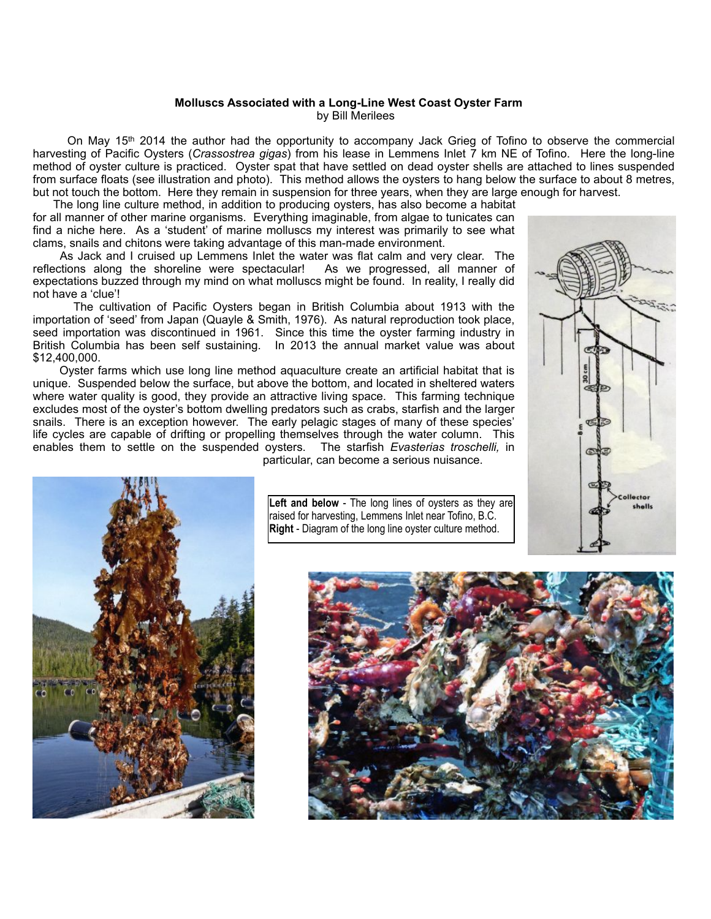## **Molluscs Associated with a Long-Line West Coast Oyster Farm** by Bill Merilees

On May 15<sup>th</sup> 2014 the author had the opportunity to accompany Jack Grieg of Tofino to observe the commercial harvesting of Pacific Oysters (*Crassostrea gigas*) from his lease in Lemmens Inlet 7 km NE of Tofino. Here the long-line method of oyster culture is practiced. Oyster spat that have settled on dead oyster shells are attached to lines suspended from surface floats (see illustration and photo). This method allows the oysters to hang below the surface to about 8 metres, but not touch the bottom. Here they remain in suspension for three years, when they are large enough for harvest.

 The long line culture method, in addition to producing oysters, has also become a habitat for all manner of other marine organisms. Everything imaginable, from algae to tunicates can find a niche here. As a 'student' of marine molluscs my interest was primarily to see what clams, snails and chitons were taking advantage of this man-made environment.

 As Jack and I cruised up Lemmens Inlet the water was flat calm and very clear. The reflections along the shoreline were spectacular! As we progressed, all manner of expectations buzzed through my mind on what molluscs might be found. In reality, I really did not have a 'clue'!

 The cultivation of Pacific Oysters began in British Columbia about 1913 with the importation of 'seed' from Japan (Quayle & Smith, 1976). As natural reproduction took place, seed importation was discontinued in 1961. Since this time the oyster farming industry in British Columbia has been self sustaining. In 2013 the annual market value was about \$12,400,000.

 Oyster farms which use long line method aquaculture create an artificial habitat that is unique. Suspended below the surface, but above the bottom, and located in sheltered waters where water quality is good, they provide an attractive living space. This farming technique excludes most of the oyster's bottom dwelling predators such as crabs, starfish and the larger snails. There is an exception however. The early pelagic stages of many of these species' life cycles are capable of drifting or propelling themselves through the water column. This enables them to settle on the suspended oysters. The starfish *Evasterias troschelli,* in particular, can become a serious nuisance.





**Left and below** - The long lines of oysters as they are raised for harvesting, Lemmens Inlet near Tofino, B.C. **Right** - Diagram of the long line oyster culture method.